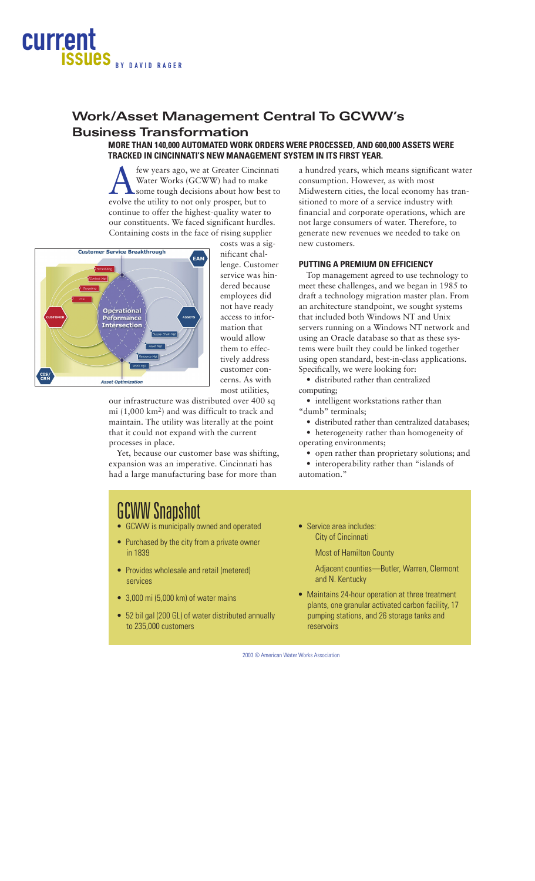

# **Work/Asset Management Central To GCWW's Business Transformation**

# **MORE THAN 140,000 AUTOMATED WORK ORDERS WERE PROCESSED, AND 600,000 ASSETS WERE TRACKED IN CINCINNATI'S NEW MANAGEMENT SYSTEM IN ITS FIRST YEAR.**

few years ago, we at Greater Cincinnati Water Works (GCWW) had to make some tough decisions about how best to evolve the utility to not only prosper, but to continue to offer the highest-quality water to our constituents. We faced significant hurdles. Containing costs in the face of rising supplier



costs was a significant challenge. Customer service was hindered because employees did not have ready access to information that would allow them to effectively address customer concerns. As with most utilities,

our infrastructure was distributed over 400 sq mi (1,000 km2) and was difficult to track and maintain. The utility was literally at the point that it could not expand with the current processes in place.

Yet, because our customer base was shifting, expansion was an imperative. Cincinnati has had a large manufacturing base for more than

a hundred years, which means significant water consumption. However, as with most Midwestern cities, the local economy has transitioned to more of a service industry with financial and corporate operations, which are not large consumers of water. Therefore, to generate new revenues we needed to take on new customers.

### **PUTTING A PREMIUM ON EFFICIENCY**

Top management agreed to use technology to meet these challenges, and we began in 1985 to draft a technology migration master plan. From an architecture standpoint, we sought systems that included both Windows NT and Unix servers running on a Windows NT network and using an Oracle database so that as these systems were built they could be linked together using open standard, best-in-class applications. Specifically, we were looking for:

• distributed rather than centralized computing;

• intelligent workstations rather than "dumb" terminals;

• distributed rather than centralized databases;

• heterogeneity rather than homogeneity of

operating environments;

- open rather than proprietary solutions; and
- interoperability rather than "islands of

automation."

# GCWW Snapshot

- GCWW is municipally owned and operated
- Purchased by the city from a private owner in 1839
- Provides wholesale and retail (metered) services
- 3,000 mi (5,000 km) of water mains
- 52 bil gal (200 GL) of water distributed annually to 235,000 customers
- Service area includes: City of Cincinnati

Most of Hamilton County

- Adjacent counties—Butler, Warren, Clermont and N. Kentucky
- Maintains 24-hour operation at three treatment plants, one granular activated carbon facility, 17 pumping stations, and 26 storage tanks and reservoirs

2003 © American Water Works Association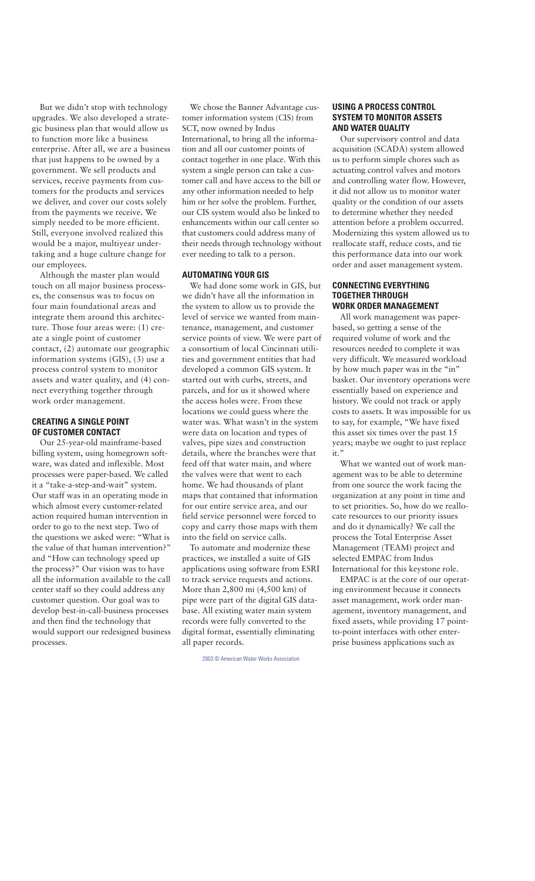But we didn't stop with technology upgrades. We also developed a strategic business plan that would allow us to function more like a business enterprise. After all, we are a business that just happens to be owned by a government. We sell products and services, receive payments from customers for the products and services we deliver, and cover our costs solely from the payments we receive. We simply needed to be more efficient. Still, everyone involved realized this would be a major, multiyear undertaking and a huge culture change for our employees.

Although the master plan would touch on all major business processes, the consensus was to focus on four main foundational areas and integrate them around this architecture. Those four areas were: (1) create a single point of customer contact, (2) automate our geographic information systems (GIS), (3) use a process control system to monitor assets and water quality, and (4) connect everything together through work order management.

## **CREATING A SINGLE POINT OF CUSTOMER CONTACT**

Our 25-year-old mainframe-based billing system, using homegrown software, was dated and inflexible. Most processes were paper-based. We called it a "take-a-step-and-wait" system. Our staff was in an operating mode in which almost every customer-related action required human intervention in order to go to the next step. Two of the questions we asked were: "What is the value of that human intervention?" and "How can technology speed up the process?" Our vision was to have all the information available to the call center staff so they could address any customer question. Our goal was to develop best-in-call-business processes and then find the technology that would support our redesigned business processes.

We chose the Banner Advantage customer information system (CIS) from SCT, now owned by Indus International, to bring all the information and all our customer points of contact together in one place. With this system a single person can take a customer call and have access to the bill or any other information needed to help him or her solve the problem. Further, our CIS system would also be linked to enhancements within our call center so that customers could address many of their needs through technology without ever needing to talk to a person.

## **AUTOMATING YOUR GIS**

We had done some work in GIS, but we didn't have all the information in the system to allow us to provide the level of service we wanted from maintenance, management, and customer service points of view. We were part of a consortium of local Cincinnati utilities and government entities that had developed a common GIS system. It started out with curbs, streets, and parcels, and for us it showed where the access holes were. From these locations we could guess where the water was. What wasn't in the system were data on location and types of valves, pipe sizes and construction details, where the branches were that feed off that water main, and where the valves were that went to each home. We had thousands of plant maps that contained that information for our entire service area, and our field service personnel were forced to copy and carry those maps with them into the field on service calls.

To automate and modernize these practices, we installed a suite of GIS applications using software from ESRI to track service requests and actions. More than 2,800 mi (4,500 km) of pipe were part of the digital GIS database. All existing water main system records were fully converted to the digital format, essentially eliminating all paper records.

2003 © American Water Works Association

# **USING A PROCESS CONTROL SYSTEM TO MONITOR ASSETS AND WATER QUALITY**

Our supervisory control and data acquisition (SCADA) system allowed us to perform simple chores such as actuating control valves and motors and controlling water flow. However, it did not allow us to monitor water quality or the condition of our assets to determine whether they needed attention before a problem occurred. Modernizing this system allowed us to reallocate staff, reduce costs, and tie this performance data into our work order and asset management system.

# **CONNECTING EVERYTHING TOGETHER THROUGH WORK ORDER MANAGEMENT**

All work management was paperbased, so getting a sense of the required volume of work and the resources needed to complete it was very difficult. We measured workload by how much paper was in the "in" basket. Our inventory operations were essentially based on experience and history. We could not track or apply costs to assets. It was impossible for us to say, for example, "We have fixed this asset six times over the past 15 years; maybe we ought to just replace it."

What we wanted out of work management was to be able to determine from one source the work facing the organization at any point in time and to set priorities. So, how do we reallocate resources to our priority issues and do it dynamically? We call the process the Total Enterprise Asset Management (TEAM) project and selected EMPAC from Indus International for this keystone role.

EMPAC is at the core of our operating environment because it connects asset management, work order management, inventory management, and fixed assets, while providing 17 pointto-point interfaces with other enterprise business applications such as